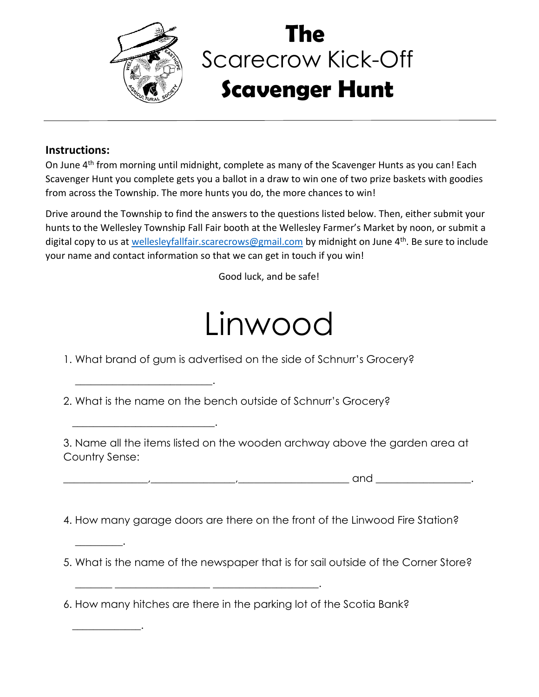

 $\overline{\phantom{a}}$  , and the set of the set of the set of the set of the set of the set of the set of the set of the set of the set of the set of the set of the set of the set of the set of the set of the set of the set of the s

 $\overline{\phantom{a}}$  , and the set of the set of the set of the set of the set of the set of the set of the set of the set of the set of the set of the set of the set of the set of the set of the set of the set of the set of the s

 $\overline{\phantom{a}}$  . The set of the set of the set of the set of the set of the set of the set of the set of the set of the set of the set of the set of the set of the set of the set of the set of the set of the set of the set o

 $\overline{\phantom{a}}$  . The contract of the contract of the contract of the contract of the contract of the contract of the contract of the contract of the contract of the contract of the contract of the contract of the contract of

## Scarecrow Kick-Off **Scavenger Hunt The**

## **Instructions:**

On June 4<sup>th</sup> from morning until midnight, complete as many of the Scavenger Hunts as you can! Each Scavenger Hunt you complete gets you a ballot in a draw to win one of two prize baskets with goodies from across the Township. The more hunts you do, the more chances to win!

Drive around the Township to find the answers to the questions listed below. Then, either submit your hunts to the Wellesley Township Fall Fair booth at the Wellesley Farmer's Market by noon, or submit a digital copy to us at [wellesleyfallfair.scarecrows@gmail.com](mailto:wellesleyfallfair.scarecrows@gmail.com) by midnight on June 4<sup>th</sup>. Be sure to include your name and contact information so that we can get in touch if you win!

Good luck, and be safe!

## Linwood

1. What brand of gum is advertised on the side of Schnurr's Grocery?

2. What is the name on the bench outside of Schnurr's Grocery?

3. Name all the items listed on the wooden archway above the garden area at Country Sense:

\_\_\_\_\_\_\_\_\_\_\_\_\_\_\_\_,\_\_\_\_\_\_\_\_\_\_\_\_\_\_\_\_,\_\_\_\_\_\_\_\_\_\_\_\_\_\_\_\_\_\_\_\_\_ and \_\_\_\_\_\_\_\_\_\_\_\_\_\_\_\_\_\_.

4. How many garage doors are there on the front of the Linwood Fire Station?

5. What is the name of the newspaper that is for sail outside of the Corner Store?

6. How many hitches are there in the parking lot of the Scotia Bank?

 $\frac{1}{2}$  ,  $\frac{1}{2}$  ,  $\frac{1}{2}$  ,  $\frac{1}{2}$  ,  $\frac{1}{2}$  ,  $\frac{1}{2}$  ,  $\frac{1}{2}$  ,  $\frac{1}{2}$  ,  $\frac{1}{2}$  ,  $\frac{1}{2}$  ,  $\frac{1}{2}$  ,  $\frac{1}{2}$  ,  $\frac{1}{2}$  ,  $\frac{1}{2}$  ,  $\frac{1}{2}$  ,  $\frac{1}{2}$  ,  $\frac{1}{2}$  ,  $\frac{1}{2}$  ,  $\frac{1$